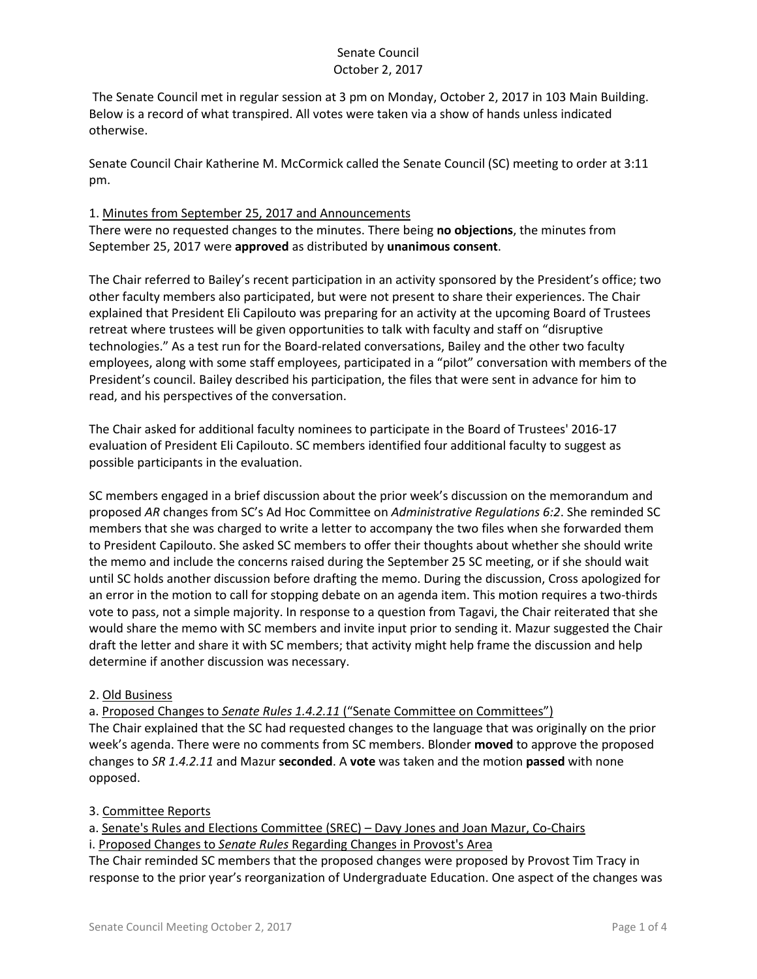# Senate Council October 2, 2017

The Senate Council met in regular session at 3 pm on Monday, October 2, 2017 in 103 Main Building. Below is a record of what transpired. All votes were taken via a show of hands unless indicated otherwise.

Senate Council Chair Katherine M. McCormick called the Senate Council (SC) meeting to order at 3:11 pm.

## 1. Minutes from September 25, 2017 and Announcements

There were no requested changes to the minutes. There being **no objections**, the minutes from September 25, 2017 were **approved** as distributed by **unanimous consent**.

The Chair referred to Bailey's recent participation in an activity sponsored by the President's office; two other faculty members also participated, but were not present to share their experiences. The Chair explained that President Eli Capilouto was preparing for an activity at the upcoming Board of Trustees retreat where trustees will be given opportunities to talk with faculty and staff on "disruptive technologies." As a test run for the Board-related conversations, Bailey and the other two faculty employees, along with some staff employees, participated in a "pilot" conversation with members of the President's council. Bailey described his participation, the files that were sent in advance for him to read, and his perspectives of the conversation.

The Chair asked for additional faculty nominees to participate in the Board of Trustees' 2016-17 evaluation of President Eli Capilouto. SC members identified four additional faculty to suggest as possible participants in the evaluation.

SC members engaged in a brief discussion about the prior week's discussion on the memorandum and proposed *AR* changes from SC's Ad Hoc Committee on *Administrative Regulations 6:2*. She reminded SC members that she was charged to write a letter to accompany the two files when she forwarded them to President Capilouto. She asked SC members to offer their thoughts about whether she should write the memo and include the concerns raised during the September 25 SC meeting, or if she should wait until SC holds another discussion before drafting the memo. During the discussion, Cross apologized for an error in the motion to call for stopping debate on an agenda item. This motion requires a two-thirds vote to pass, not a simple majority. In response to a question from Tagavi, the Chair reiterated that she would share the memo with SC members and invite input prior to sending it. Mazur suggested the Chair draft the letter and share it with SC members; that activity might help frame the discussion and help determine if another discussion was necessary.

### 2. Old Business

a. Proposed Changes to *Senate Rules 1.4.2.11* ("Senate Committee on Committees")

The Chair explained that the SC had requested changes to the language that was originally on the prior week's agenda. There were no comments from SC members. Blonder **moved** to approve the proposed changes to *SR 1.4.2.11* and Mazur **seconded**. A **vote** was taken and the motion **passed** with none opposed.

### 3. Committee Reports

a. Senate's Rules and Elections Committee (SREC) – Davy Jones and Joan Mazur, Co-Chairs

i. Proposed Changes to *Senate Rules* Regarding Changes in Provost's Area

The Chair reminded SC members that the proposed changes were proposed by Provost Tim Tracy in response to the prior year's reorganization of Undergraduate Education. One aspect of the changes was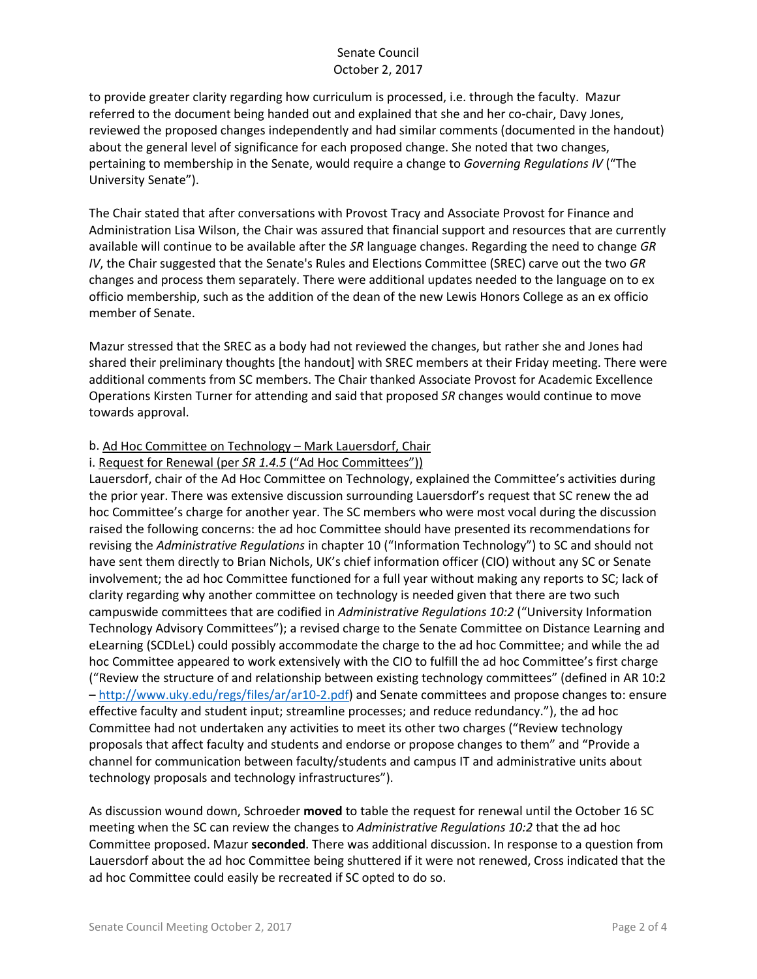# Senate Council October 2, 2017

to provide greater clarity regarding how curriculum is processed, i.e. through the faculty. Mazur referred to the document being handed out and explained that she and her co-chair, Davy Jones, reviewed the proposed changes independently and had similar comments (documented in the handout) about the general level of significance for each proposed change. She noted that two changes, pertaining to membership in the Senate, would require a change to *Governing Regulations IV* ("The University Senate").

The Chair stated that after conversations with Provost Tracy and Associate Provost for Finance and Administration Lisa Wilson, the Chair was assured that financial support and resources that are currently available will continue to be available after the *SR* language changes. Regarding the need to change *GR IV*, the Chair suggested that the Senate's Rules and Elections Committee (SREC) carve out the two *GR* changes and process them separately. There were additional updates needed to the language on to ex officio membership, such as the addition of the dean of the new Lewis Honors College as an ex officio member of Senate.

Mazur stressed that the SREC as a body had not reviewed the changes, but rather she and Jones had shared their preliminary thoughts [the handout] with SREC members at their Friday meeting. There were additional comments from SC members. The Chair thanked Associate Provost for Academic Excellence Operations Kirsten Turner for attending and said that proposed *SR* changes would continue to move towards approval.

## b. Ad Hoc Committee on Technology – Mark Lauersdorf, Chair

### i. Request for Renewal (per *SR 1.4.5* ("Ad Hoc Committees"))

Lauersdorf, chair of the Ad Hoc Committee on Technology, explained the Committee's activities during the prior year. There was extensive discussion surrounding Lauersdorf's request that SC renew the ad hoc Committee's charge for another year. The SC members who were most vocal during the discussion raised the following concerns: the ad hoc Committee should have presented its recommendations for revising the *Administrative Regulations* in chapter 10 ("Information Technology") to SC and should not have sent them directly to Brian Nichols, UK's chief information officer (CIO) without any SC or Senate involvement; the ad hoc Committee functioned for a full year without making any reports to SC; lack of clarity regarding why another committee on technology is needed given that there are two such campuswide committees that are codified in *Administrative Regulations 10:2* ("University Information Technology Advisory Committees"); a revised charge to the Senate Committee on Distance Learning and eLearning (SCDLeL) could possibly accommodate the charge to the ad hoc Committee; and while the ad hoc Committee appeared to work extensively with the CIO to fulfill the ad hoc Committee's first charge ("Review the structure of and relationship between existing technology committees" (defined in AR 10:2 – [http://www.uky.edu/regs/files/ar/ar10-2.pdf\)](http://www.uky.edu/regs/files/ar/ar10-2.pdf) and Senate committees and propose changes to: ensure effective faculty and student input; streamline processes; and reduce redundancy."), the ad hoc Committee had not undertaken any activities to meet its other two charges ("Review technology proposals that affect faculty and students and endorse or propose changes to them" and "Provide a channel for communication between faculty/students and campus IT and administrative units about technology proposals and technology infrastructures").

As discussion wound down, Schroeder **moved** to table the request for renewal until the October 16 SC meeting when the SC can review the changes to *Administrative Regulations 10:2* that the ad hoc Committee proposed. Mazur **seconded**. There was additional discussion. In response to a question from Lauersdorf about the ad hoc Committee being shuttered if it were not renewed, Cross indicated that the ad hoc Committee could easily be recreated if SC opted to do so.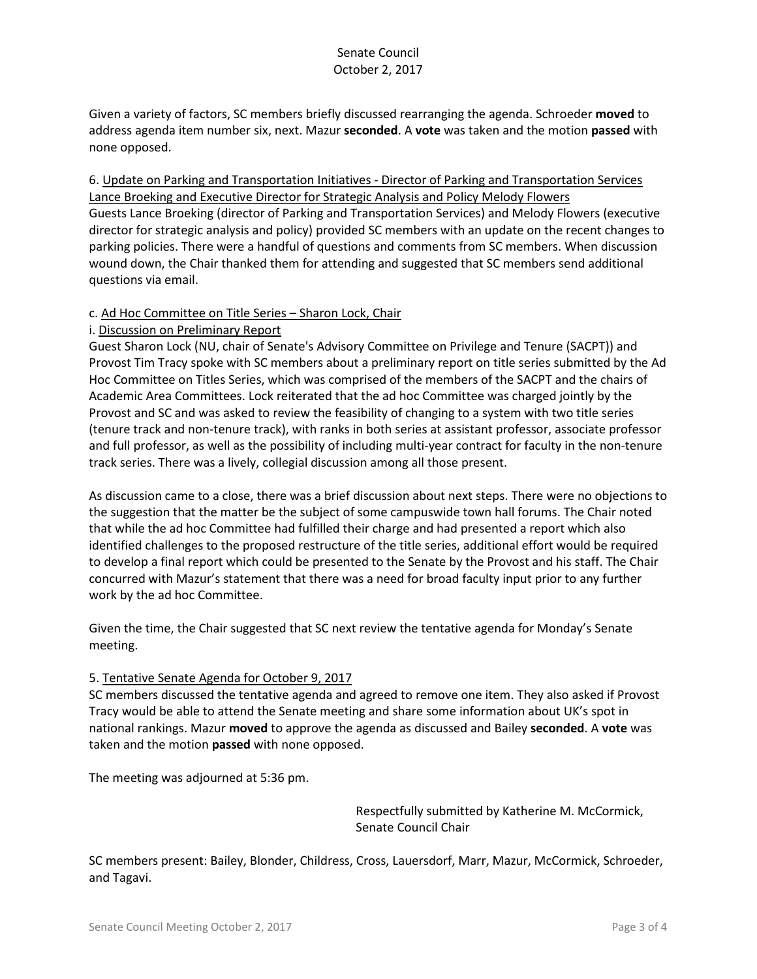Given a variety of factors, SC members briefly discussed rearranging the agenda. Schroeder **moved** to address agenda item number six, next. Mazur **seconded**. A **vote** was taken and the motion **passed** with none opposed.

6. Update on Parking and Transportation Initiatives - Director of Parking and Transportation Services Lance Broeking and Executive Director for Strategic Analysis and Policy Melody Flowers Guests Lance Broeking (director of Parking and Transportation Services) and Melody Flowers (executive director for strategic analysis and policy) provided SC members with an update on the recent changes to parking policies. There were a handful of questions and comments from SC members. When discussion wound down, the Chair thanked them for attending and suggested that SC members send additional questions via email.

### c. Ad Hoc Committee on Title Series – Sharon Lock, Chair

#### i. Discussion on Preliminary Report

Guest Sharon Lock (NU, chair of Senate's Advisory Committee on Privilege and Tenure (SACPT)) and Provost Tim Tracy spoke with SC members about a preliminary report on title series submitted by the Ad Hoc Committee on Titles Series, which was comprised of the members of the SACPT and the chairs of Academic Area Committees. Lock reiterated that the ad hoc Committee was charged jointly by the Provost and SC and was asked to review the feasibility of changing to a system with two title series (tenure track and non-tenure track), with ranks in both series at assistant professor, associate professor and full professor, as well as the possibility of including multi-year contract for faculty in the non-tenure track series. There was a lively, collegial discussion among all those present.

As discussion came to a close, there was a brief discussion about next steps. There were no objections to the suggestion that the matter be the subject of some campuswide town hall forums. The Chair noted that while the ad hoc Committee had fulfilled their charge and had presented a report which also identified challenges to the proposed restructure of the title series, additional effort would be required to develop a final report which could be presented to the Senate by the Provost and his staff. The Chair concurred with Mazur's statement that there was a need for broad faculty input prior to any further work by the ad hoc Committee.

Given the time, the Chair suggested that SC next review the tentative agenda for Monday's Senate meeting.

#### 5. Tentative Senate Agenda for October 9, 2017

SC members discussed the tentative agenda and agreed to remove one item. They also asked if Provost Tracy would be able to attend the Senate meeting and share some information about UK's spot in national rankings. Mazur **moved** to approve the agenda as discussed and Bailey **seconded**. A **vote** was taken and the motion **passed** with none opposed.

The meeting was adjourned at 5:36 pm.

Respectfully submitted by Katherine M. McCormick, Senate Council Chair

SC members present: Bailey, Blonder, Childress, Cross, Lauersdorf, Marr, Mazur, McCormick, Schroeder, and Tagavi.